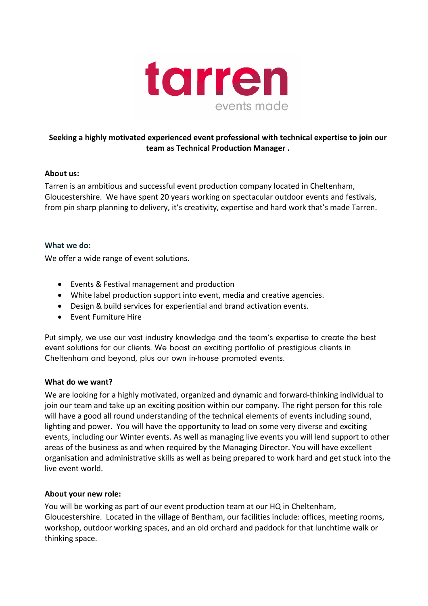

# **Seeking a highly motivated experienced event professional with technical expertise to join our team as Technical Production Manager .**

### **About us:**

Tarren is an ambitious and successful event production company located in Cheltenham, Gloucestershire. We have spent 20 years working on spectacular outdoor events and festivals, from pin sharp planning to delivery, it's creativity, expertise and hard work that's made Tarren.

### **What we do:**

We offer a wide range of event solutions.

- Events & Festival management and production
- White label production support into event, media and creative agencies.
- Design & build services for experiential and brand activation events.
- Event Furniture Hire

Put simply, we use our vast industry knowledge and the team's expertise to create the best event solutions for our clients. We boast an exciting portfolio of prestigious clients in Cheltenham and beyond, plus our own in-house promoted events.

#### **What do we want?**

We are looking for a highly motivated, organized and dynamic and forward-thinking individual to join our team and take up an exciting position within our company. The right person for this role will have a good all round understanding of the technical elements of events including sound, lighting and power. You will have the opportunity to lead on some very diverse and exciting events, including our Winter events. As well as managing live events you will lend support to other areas of the business as and when required by the Managing Director. You will have excellent organisation and administrative skills as well as being prepared to work hard and get stuck into the live event world.

#### **About your new role:**

You will be working as part of our event production team at our HQ in Cheltenham, Gloucestershire. Located in the village of Bentham, our facilities include: offices, meeting rooms, workshop, outdoor working spaces, and an old orchard and paddock for that lunchtime walk or thinking space.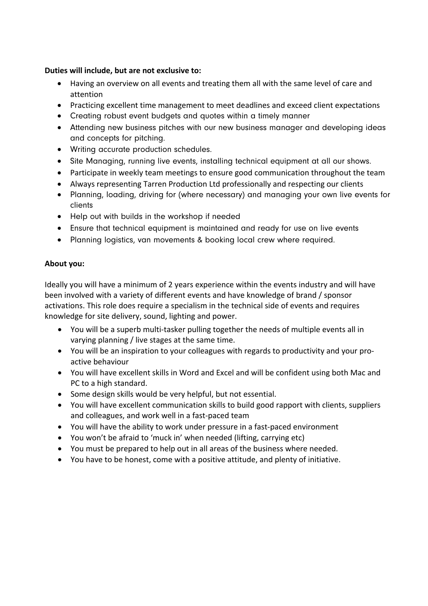# **Duties will include, but are not exclusive to:**

- Having an overview on all events and treating them all with the same level of care and attention
- Practicing excellent time management to meet deadlines and exceed client expectations
- Creating robust event budgets and quotes within a timely manner
- Attending new business pitches with our new business manager and developing ideas and concepts for pitching.
- Writing accurate production schedules.
- Site Managing, running live events, installing technical equipment at all our shows.
- Participate in weekly team meetings to ensure good communication throughout the team
- Always representing Tarren Production Ltd professionally and respecting our clients
- Planning, loading, driving for (where necessary) and managing your own live events for clients
- Help out with builds in the workshop if needed
- Ensure that technical equipment is maintained and ready for use on live events
- Planning logistics, van movements & booking local crew where required.

# **About you:**

Ideally you will have a minimum of 2 years experience within the events industry and will have been involved with a variety of different events and have knowledge of brand / sponsor activations. This role does require a specialism in the technical side of events and requires knowledge for site delivery, sound, lighting and power.

- You will be a superb multi-tasker pulling together the needs of multiple events all in varying planning / live stages at the same time.
- You will be an inspiration to your colleagues with regards to productivity and your proactive behaviour
- You will have excellent skills in Word and Excel and will be confident using both Mac and PC to a high standard.
- Some design skills would be very helpful, but not essential.
- You will have excellent communication skills to build good rapport with clients, suppliers and colleagues, and work well in a fast-paced team
- You will have the ability to work under pressure in a fast-paced environment
- You won't be afraid to 'muck in' when needed (lifting, carrying etc)
- You must be prepared to help out in all areas of the business where needed.
- You have to be honest, come with a positive attitude, and plenty of initiative.